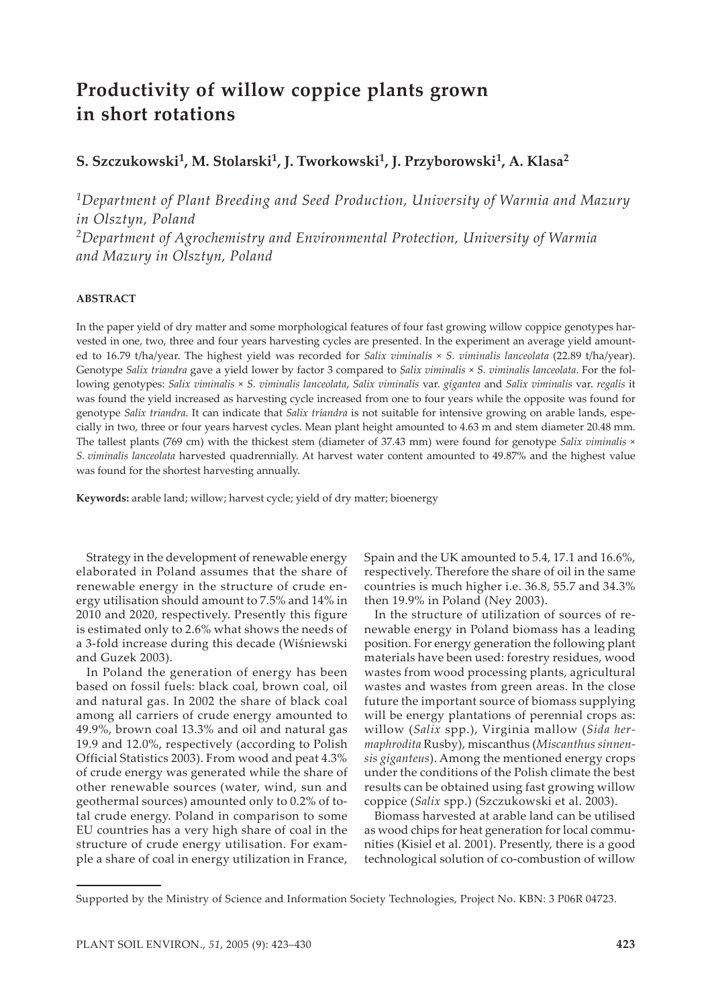# **Productivity of willow coppice plants grown in short rotations**

## **S. Szczukowski1, M. Stolarski1, J. Tworkowski1, J. Przyborowski1, A. Klasa2**

*1Department of Plant Breeding and Seed Production, University of Warmia and Mazury in Olsztyn, Poland 2Department of Agrochemistry and Environmental Protection, University of Warmia and Mazury in Olsztyn, Poland*

## **ABSTRACT**

In the paper yield of dry matter and some morphological features of four fast growing willow coppice genotypes harvested in one, two, three and four years harvesting cycles are presented. In the experiment an average yield amounted to 16.79 t/ha/year. The highest yield was recorded for *Salix viminalis* × *S. viminalis lanceolata* (22.89 t/ha/year). Genotype *Salix triandra* gave a yield lower by factor 3 compared to *Salix viminalis* × *S. viminalis lanceolata*. For the following genotypes: *Salix viminalis* × *S. viminalis lanceolata*, *Salix viminalis* var. *gigantea* and *Salix viminalis* var. *regalis* it was found the yield increased as harvesting cycle increased from one to four years while the opposite was found for genotype *Salix triandra*. It can indicate that *Salix triandra* is not suitable for intensive growing on arable lands, especially in two, three or four years harvest cycles. Mean plant height amounted to 4.63 m and stem diameter 20.48 mm. The tallest plants (769 cm) with the thickest stem (diameter of 37.43 mm) were found for genotype *Salix viminalis* × *S. viminalis lanceolata* harvested quadrennially. At harvest water content amounted to 49.87% and the highest value was found for the shortest harvesting annually.

Keywords: arable land; willow; harvest cycle; yield of dry matter; bioenergy

Strategy in the development of renewable energy elaborated in Poland assumes that the share of renewable energy in the structure of crude energy utilisation should amount to 7.5% and 14% in 2010 and 2020, respectively. Presently this figure is estimated only to 2.6% what shows the needs of a 3-fold increase during this decade (Wiśniewski and Guzek 2003).

In Poland the generation of energy has been based on fossil fuels: black coal, brown coal, oil and natural gas. In 2002 the share of black coal among all carriers of crude energy amounted to 49.9%, brown coal 13.3% and oil and natural gas 19.9 and 12.0%, respectively (according to Polish Official Statistics 2003). From wood and peat 4.3% of crude energy was generated while the share of other renewable sources (water, wind, sun and geothermal sources) amounted only to 0.2% of total crude energy. Poland in comparison to some EU countries has a very high share of coal in the structure of crude energy utilisation. For example a share of coal in energy utilization in France,

Spain and the UK amounted to 5.4, 17.1 and 16.6%, respectively. Therefore the share of oil in the same countries is much higher i.e. 36.8, 55.7 and 34.3% then 19.9% in Poland (Ney 2003).

In the structure of utilization of sources of renewable energy in Poland biomass has a leading position. For energy generation the following plant materials have been used: forestry residues, wood wastes from wood processing plants, agricultural wastes and wastes from green areas. In the close future the important source of biomass supplying will be energy plantations of perennial crops as: willow (*Salix* spp.), Virginia mallow (*Sida hermaphrodita* Rusby), miscanthus (*Miscanthus sinnensis giganteus*). Among the mentioned energy crops under the conditions of the Polish climate the best results can be obtained using fast growing willow coppice (*Salix* spp.) (Szczukowski et al. 2003).

Biomass harvested at arable land can be utilised as wood chips for heat generation for local communities (Kisiel et al. 2001). Presently, there is a good technological solution of co-combustion of willow

Supported by the Ministry of Science and Information Society Technologies, Project No. KBN: 3 P06R 04723.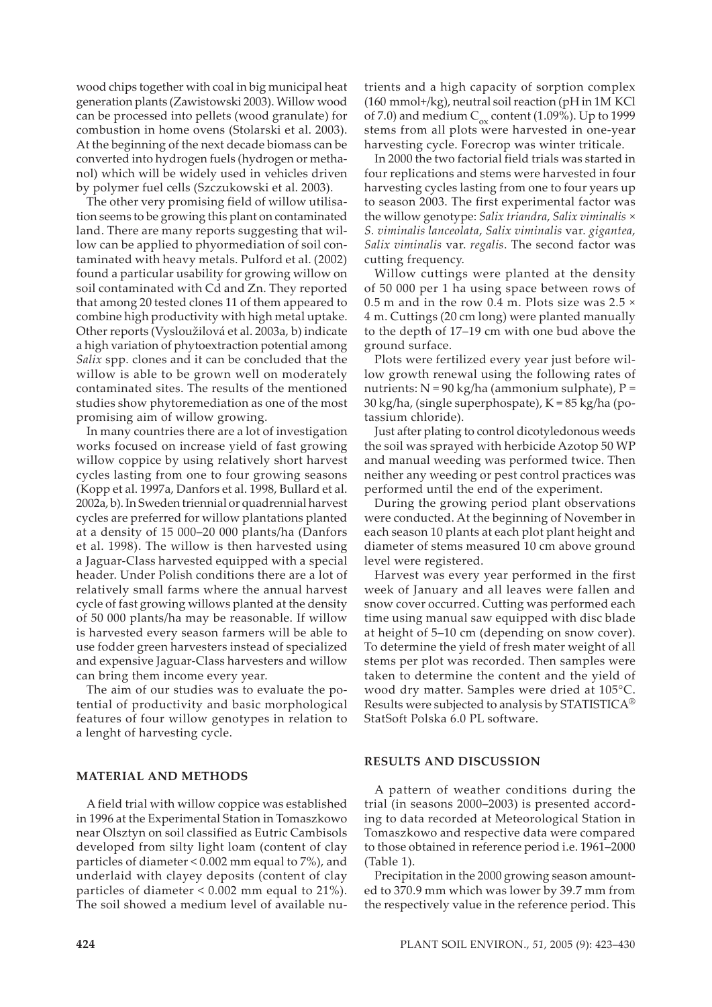wood chips together with coal in big municipal heat generation plants (Zawistowski 2003). Willow wood can be processed into pellets (wood granulate) for combustion in home ovens (Stolarski et al. 2003). At the beginning of the next decade biomass can be converted into hydrogen fuels (hydrogen or methanol) which will be widely used in vehicles driven by polymer fuel cells (Szczukowski et al. 2003).

The other very promising field of willow utilisation seems to be growing this plant on contaminated land. There are many reports suggesting that willow can be applied to phyormediation of soil contaminated with heavy metals. Pulford et al. (2002) found a particular usability for growing willow on soil contaminated with Cd and Zn. They reported that among 20 tested clones 11 of them appeared to combine high productivity with high metal uptake. Other reports (Vysloužilová et al. 2003a, b) indicate a high variation of phytoextraction potential among *Salix* spp. clones and it can be concluded that the willow is able to be grown well on moderately contaminated sites. The results of the mentioned studies show phytoremediation as one of the most promising aim of willow growing.

In many countries there are a lot of investigation works focused on increase yield of fast growing willow coppice by using relatively short harvest cycles lasting from one to four growing seasons (Kopp et al. 1997a, Danfors et al. 1998, Bullard et al. 2002a, b). In Sweden triennial or quadrennial harvest cycles are preferred for willow plantations planted at a density of 15 000–20 000 plants/ha (Danfors et al. 1998). The willow is then harvested using a Jaguar-Class harvested equipped with a special header. Under Polish conditions there are a lot of relatively small farms where the annual harvest cycle of fast growing willows planted at the density of 50 000 plants/ha may be reasonable. If willow is harvested every season farmers will be able to use fodder green harvesters instead of specialized and expensive Jaguar-Class harvesters and willow can bring them income every year.

The aim of our studies was to evaluate the potential of productivity and basic morphological features of four willow genotypes in relation to a lenght of harvesting cycle.

### **MATERIAL AND METHODS**

A field trial with willow coppice was established in 1996 at the Experimental Station in Tomaszkowo near Olsztyn on soil classified as Eutric Cambisols developed from silty light loam (content of clay particles of diameter < 0.002 mm equal to 7%), and underlaid with clayey deposits (content of clay particles of diameter < 0.002 mm equal to 21%). The soil showed a medium level of available nutrients and a high capacity of sorption complex (160 mmol+/kg), neutral soil reaction (pH in 1M KCl of 7.0) and medium  $C_{\text{ox}}$  content (1.09%). Up to 1999 stems from all plots were harvested in one-year harvesting cycle. Forecrop was winter triticale.

In 2000 the two factorial field trials was started in four replications and stems were harvested in four harvesting cycles lasting from one to four years up to season 2003. The first experimental factor was the willow genotype: *Salix triandra*, *Salix viminalis* × *S. viminalis lanceolata*, *Salix viminalis* var. *gigantea*, *Salix viminalis* var. *regalis*. The second factor was cutting frequency.

Willow cuttings were planted at the density of 50 000 per 1 ha using space between rows of 0.5 m and in the row 0.4 m. Plots size was 2.5  $\times$ 4 m. Cuttings (20 cm long) were planted manually to the depth of 17–19 cm with one bud above the ground surface.

Plots were fertilized every year just before willow growth renewal using the following rates of nutrients:  $N = 90$  kg/ha (ammonium sulphate),  $P =$ 30 kg/ha, (single superphospate), K = 85 kg/ha (potassium chloride).

Just after plating to control dicotyledonous weeds the soil was sprayed with herbicide Azotop 50 WP and manual weeding was performed twice. Then neither any weeding or pest control practices was performed until the end of the experiment.

During the growing period plant observations were conducted. At the beginning of November in each season 10 plants at each plot plant height and diameter of stems measured 10 cm above ground level were registered.

Harvest was every year performed in the first week of January and all leaves were fallen and snow cover occurred. Cutting was performed each time using manual saw equipped with disc blade at height of 5–10 cm (depending on snow cover). To determine the yield of fresh mater weight of all stems per plot was recorded. Then samples were taken to determine the content and the yield of wood dry matter. Samples were dried at 105°C. Results were subjected to analysis by STATISTICA<sup>®</sup> StatSoft Polska 6.0 PL software.

#### **RESULTS AND DISCUSSION**

A pattern of weather conditions during the trial (in seasons 2000–2003) is presented according to data recorded at Meteorological Station in Tomaszkowo and respective data were compared to those obtained in reference period i.e. 1961–2000 (Table 1).

Precipitation in the 2000 growing season amounted to 370.9 mm which was lower by 39.7 mm from the respectively value in the reference period. This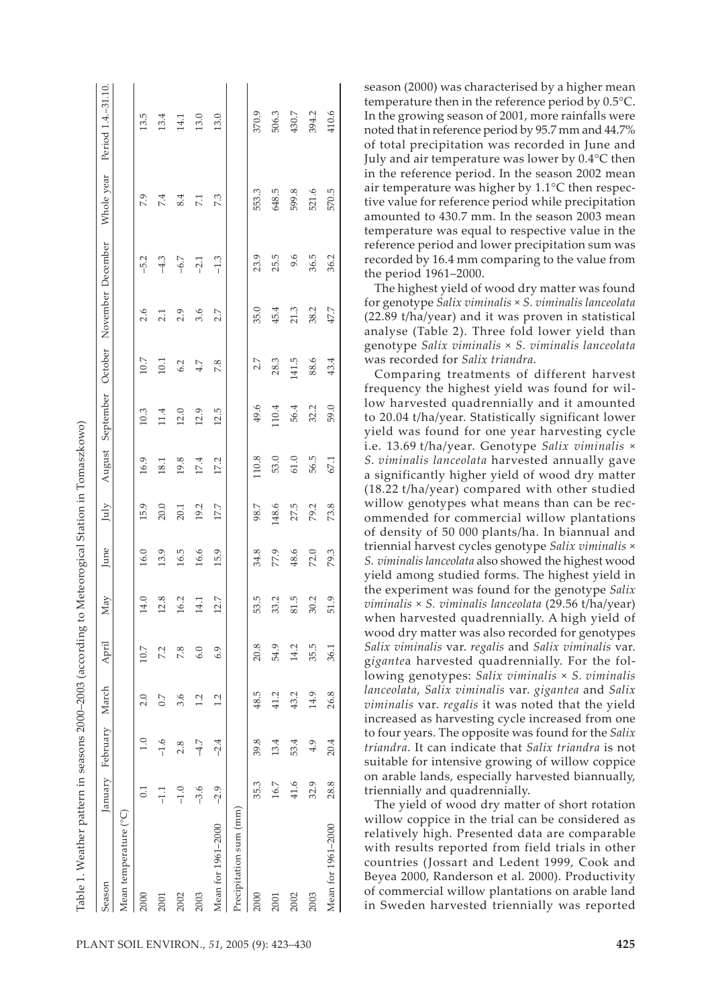| Table 1. Weather pattern in seasons 2000–2003 (according to Meteorogical Station in Tomaszkowo) |        |                        |        |       |      |      |       |        |                                     |       |      |        |            |                     |
|-------------------------------------------------------------------------------------------------|--------|------------------------|--------|-------|------|------|-------|--------|-------------------------------------|-------|------|--------|------------|---------------------|
| Season                                                                                          |        | January February March |        | April | May  | June | July  | August | September October November December |       |      |        | Whole year | Period 1.4. - 31.10 |
| Mean temperature (°C)                                                                           |        |                        |        |       |      |      |       |        |                                     |       |      |        |            |                     |
| 2000                                                                                            | 0.1    |                        | 2.0    | 10.7  | 14.0 | 16.0 | 15.9  | 16.9   | 10.3                                | 10.7  | 2.6  | $-5.2$ | 7.9        | 13.5                |
| 2001                                                                                            | 뉴      | $-1.6$                 | $\sim$ | 7.2   | 12.8 | 13.9 | 20.0  | 18.1   | 11.4                                | 10.1  | 2.1  | $-4.3$ | 7.4        | 13.4                |
| 2002                                                                                            | $-1.0$ | 2.8                    | 3.6    | 7.8   | 16.2 | 16.5 | 20.1  | 19.8   | 12.0                                | 6.2   | 2.9  | $-6.7$ | 8.4        | 14.1                |
| 2003                                                                                            | $-3.6$ | $-4.7$                 | 1.2    | 6.0   | 14.1 | 16.6 | 19.2  | 17.4   | 12.9                                | 4.7   | 3.6  | $-2.1$ | 7.1        | 13.0                |
| Mean for 1961-2000                                                                              | $-2.9$ | $-2.4$                 | 1.2    | 6.9   | 12.7 | 15.9 | 177   | 17.2   | 12.5                                | 7.8   | 2.7  | $-1.3$ | 7.3        | 13.0                |
| Precipitation sum (mm)                                                                          |        |                        |        |       |      |      |       |        |                                     |       |      |        |            |                     |
| 2000                                                                                            | 35.3   | 39.8                   | 48.5   | 20.8  | 53.5 | 34.8 | 98.7  | 110.8  | 49.6                                | 2.7   | 35.0 | 23.9   | 553.3      | 370.9               |
| 2001                                                                                            | 16.7   | 13.4                   | 41.2   | 54.9  | 33.2 | 77.9 | 148.6 | 53.0   | 110.4                               | 28.3  | 45.4 | 25.5   | 648.5      | 506.3               |
| 2002                                                                                            | 41.6   | 53.4                   | 43.2   | 14.2  | 81.5 | 48.6 | 27.5  | 61.0   | 56.4                                | 141.5 | 21.3 | 9.6    | 599.8      | 430.7               |
| 2003                                                                                            | 32.9   | 4.9                    | 14.9   | 35.5  | 30.2 | 72.0 | 79.2  | 56.5   | 32.2                                | 88.6  | 38.2 | 36.5   | 521.6      | 394.2               |
| Mean for 1961-2000                                                                              | 28.8   | 20.4                   | 26.8   | 36.1  | 51.9 | 79.3 | 73.8  | 67.1   | 59.0                                | 43.4  | 47.7 | 36.2   | 570.5      | 410.6               |

Table 1. Weather pattern in seasons 2000–2003 (according to Meteorogical Station in Tomaszkowo) F č ċ nnon noon ť  $\overline{M}$ 

season (2000) was characterised by a higher mean temperature then in the reference period by 0.5°C. In the growing season of 2001, more rainfalls were noted that in reference period by 95.7 mm and 44.7% of total precipitation was recorded in June and July and air temperature was lower by 0.4°C then in the reference period. In the season 2002 mean air temperature was higher by 1.1°C then respective value for reference period while precipitation amounted to 430.7 mm. In the season 2003 mean temperature was equal to respective value in the reference period and lower precipitation sum was recorded by 16.4 mm comparing to the value from the period 1961–2000.

The highest yield of wood dry matter was found for genotype *Salix viminalis* × *S. viminalis lanceolata* (22.89 t/ha/year) and it was proven in statistical analyse (Table 2). Three fold lower yield than genotype *Salix viminalis* × *S. viminalis lanceolata* was recorded for *Salix triandra*.

Comparing treatments of different harvest frequency the highest yield was found for willow harvested quadrennially and it amounted to 20.04 t/ha/year. Statistically significant lower yield was found for one year harvesting cycle i.e. 13.69 t/ha/year. Genotype *Salix viminalis* × *S. viminalis lanceolata* harvested annually gave a significantly higher yield of wood dry matter (18.22 t/ha/year) compared with other studied willow genotypes what means than can be recommended for commercial willow plantations of density of 50 000 plants/ha. In biannual and triennial harvest cycles genotype *Salix viminalis* × *S. viminalis lanceolata* also showed the highest wood yield among studied forms. The highest yield in the experiment was found for the genotype *Salix viminalis* × *S. viminalis lanceolata* (29.56 t/ha/year) when harvested quadrennially. A high yield of wood dry matter was also recorded for genotypes *Salix viminalis* var. *regalis* and *Salix viminalis* var. g*igante*a harvested quadrennially. For the following genotypes: *Salix viminalis* × *S. viminalis lanceolata*, *Salix viminalis* var. *gigantea* and *Salix viminalis* var. *regalis* it was noted that the yield increased as harvesting cycle increased from one to four years. The opposite was found for the *Salix triandra*. It can indicate that *Salix triandra* is not suitable for intensive growing of willow coppice on arable lands, especially harvested biannually, triennially and quadrennially.

The yield of wood dry matter of short rotation willow coppice in the trial can be considered as relatively high. Presented data are comparable with results reported from field trials in other countries (Jossart and Ledent 1999, Cook and Beyea 2000, Randerson et al. 2000). Productivity of commercial willow plantations on arable land in Sweden harvested triennially was reported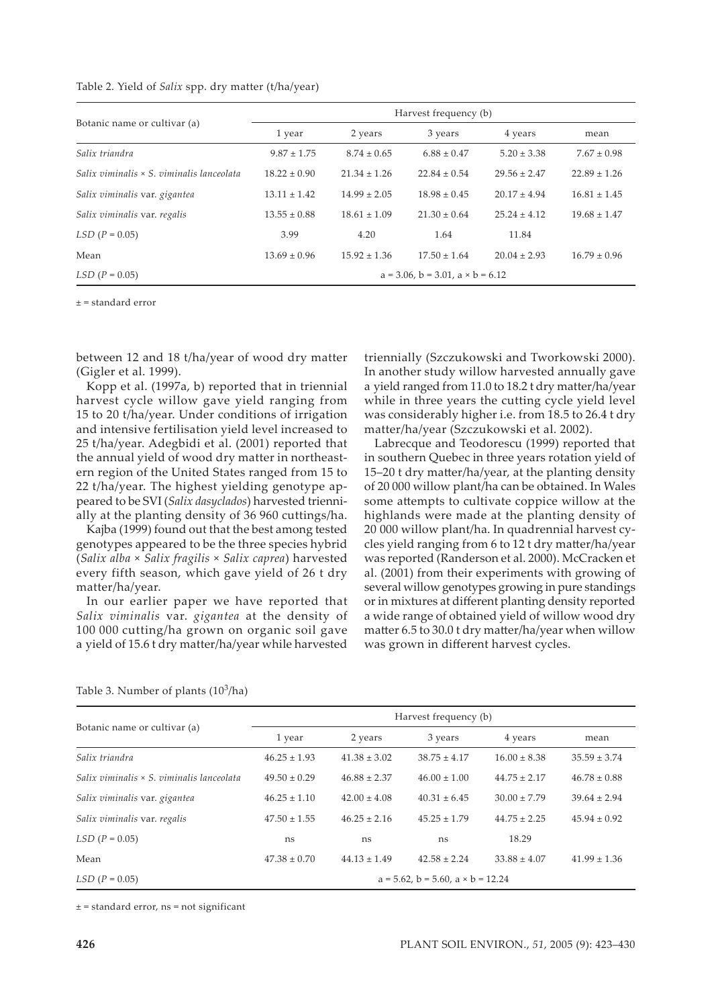| Table 2. Yield of Salix spp. dry matter (t/ha/year) |  |  |  |  |
|-----------------------------------------------------|--|--|--|--|
|-----------------------------------------------------|--|--|--|--|

|                                                  |                  |                  | Harvest frequency (b)                         |                  |                  |
|--------------------------------------------------|------------------|------------------|-----------------------------------------------|------------------|------------------|
| Botanic name or cultivar (a)                     | 1 year           | 2 years          | 3 years                                       | 4 years          | mean             |
| Salix triandra                                   | $9.87 \pm 1.75$  | $8.74 \pm 0.65$  | $6.88 \pm 0.47$                               | $5.20 \pm 3.38$  | $7.67 \pm 0.98$  |
| Salix viminalis $\times$ S. viminalis lanceolata | $18.22 \pm 0.90$ | $21.34 \pm 1.26$ | $22.84 \pm 0.54$                              | $29.56 \pm 2.47$ | $22.89 \pm 1.26$ |
| Salix viminalis var. gigantea                    | $13.11 \pm 1.42$ | $14.99 \pm 2.05$ | $18.98 \pm 0.45$                              | $20.17 \pm 4.94$ | $16.81 \pm 1.45$ |
| Salix viminalis var. regalis                     | $13.55 \pm 0.88$ | $18.61 \pm 1.09$ | $21.30 \pm 0.64$                              | $25.24 \pm 4.12$ | $19.68 \pm 1.47$ |
| $LSD (P = 0.05)$                                 | 3.99             | 4.20             | 1.64                                          | 11.84            |                  |
| Mean                                             | $13.69 \pm 0.96$ | $15.92 \pm 1.36$ | $17.50 \pm 1.64$                              | $20.04 \pm 2.93$ | $16.79 \pm 0.96$ |
| $LSD (P = 0.05)$                                 |                  |                  | $a = 3.06$ , $b = 3.01$ , $a \times b = 6.12$ |                  |                  |

± = standard error

between 12 and 18 t/ha/year of wood dry matter (Gigler et al. 1999).

Kopp et al. (1997a, b) reported that in triennial harvest cycle willow gave yield ranging from 15 to 20 t/ha/year. Under conditions of irrigation and intensive fertilisation yield level increased to 25 t/ha/year. Adegbidi et al. (2001) reported that the annual yield of wood dry matter in northeastern region of the United States ranged from 15 to 22 t/ha/year. The highest yielding genotype appeared to be SVI (*Salix dasyclados*) harvested triennially at the planting density of 36 960 cuttings/ha.

Kajba (1999) found out that the best among tested genotypes appeared to be the three species hybrid (*Salix alba* × *Salix fragilis* × *Salix caprea*) harvested every fifth season, which gave yield of 26 t dry matter/ha/year.

In our earlier paper we have reported that *Salix viminalis* var. *gigantea* at the density of 100 000 cutting/ha grown on organic soil gave a yield of 15.6 t dry matter/ha/year while harvested

triennially (Szczukowski and Tworkowski 2000). In another study willow harvested annually gave a yield ranged from 11.0 to 18.2 t dry matter/ha/year while in three years the cutting cycle yield level was considerably higher i.e. from 18.5 to 26.4 t dry matter/ha/year (Szczukowski et al. 2002).

Labrecque and Teodorescu (1999) reported that in southern Quebec in three years rotation yield of 15–20 t dry matter/ha/year, at the planting density of 20 000 willow plant/ha can be obtained. In Wales some attempts to cultivate coppice willow at the highlands were made at the planting density of 20 000 willow plant/ha. In quadrennial harvest cycles yield ranging from 6 to 12 t dry matter/ha/year was reported (Randerson et al. 2000). McCracken et al. (2001) from their experiments with growing of several willow genotypes growing in pure standings or in mixtures at different planting density reported a wide range of obtained yield of willow wood dry matter 6.5 to 30.0 t dry matter/ha/year when willow was grown in different harvest cycles.

|                                                  |                  |                  | Harvest frequency (b)                          |                  |                  |
|--------------------------------------------------|------------------|------------------|------------------------------------------------|------------------|------------------|
| Botanic name or cultivar (a)                     | 1 year           | 2 years          | 3 years                                        | 4 years          | mean             |
| Salix triandra                                   | $46.25 \pm 1.93$ | $41.38 \pm 3.02$ | $38.75 \pm 4.17$                               | $16.00 \pm 8.38$ | $35.59 \pm 3.74$ |
| Salix viminalis $\times$ S. viminalis lanceolata | $49.50 \pm 0.29$ | $46.88 \pm 2.37$ | $46.00 \pm 1.00$                               | $44.75 \pm 2.17$ | $46.78 \pm 0.88$ |
| Salix viminalis var. gigantea                    | $46.25 \pm 1.10$ | $42.00 \pm 4.08$ | $40.31 \pm 6.45$                               | $30.00 \pm 7.79$ | $39.64 \pm 2.94$ |
| Salix viminalis var. regalis                     | $47.50 \pm 1.55$ | $46.25 \pm 2.16$ | $45.25 \pm 1.79$                               | $44.75 \pm 2.25$ | $45.94 \pm 0.92$ |
| $LSD (P = 0.05)$                                 | ns               | ns               | ns                                             | 18.29            |                  |
| Mean                                             | $47.38 \pm 0.70$ | $44.13 \pm 1.49$ | $42.58 \pm 2.24$                               | $33.88 \pm 4.07$ | $41.99 \pm 1.36$ |
| $LSD (P = 0.05)$                                 |                  |                  | $a = 5.62$ , $b = 5.60$ , $a \times b = 12.24$ |                  |                  |

#### Table 3. Number of plants  $(10^3$ /ha)

 $± = standard error$ , ns = not significant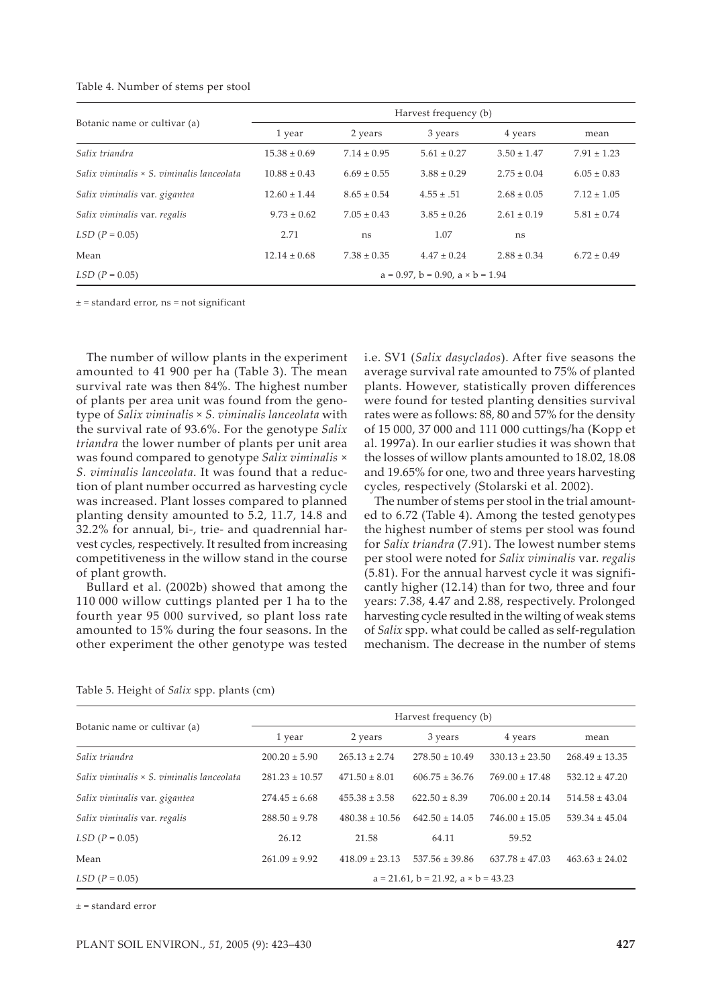| Table 4. Number of stems per stool |  |  |  |
|------------------------------------|--|--|--|
|------------------------------------|--|--|--|

|                                                  |                  |                 | Harvest frequency (b)                         |                 |                 |
|--------------------------------------------------|------------------|-----------------|-----------------------------------------------|-----------------|-----------------|
| Botanic name or cultivar (a)                     | 1 year           | 2 years         | 3 years                                       | 4 years         | mean            |
| Salix triandra                                   | $15.38 \pm 0.69$ | $7.14 \pm 0.95$ | $5.61 \pm 0.27$                               | $3.50 \pm 1.47$ | $7.91 \pm 1.23$ |
| Salix viminalis $\times$ S. viminalis lanceolata | $10.88 \pm 0.43$ | $6.69 \pm 0.55$ | $3.88 \pm 0.29$                               | $2.75 \pm 0.04$ | $6.05 \pm 0.83$ |
| Salix viminalis var. gigantea                    | $12.60 \pm 1.44$ | $8.65 \pm 0.54$ | $4.55 \pm .51$                                | $2.68 \pm 0.05$ | $7.12 \pm 1.05$ |
| Salix viminalis var. regalis                     | $9.73 \pm 0.62$  | $7.05 \pm 0.43$ | $3.85 \pm 0.26$                               | $2.61 \pm 0.19$ | $5.81 \pm 0.74$ |
| $LSD (P = 0.05)$                                 | 2.71             | ns              | 1.07                                          | ns              |                 |
| Mean                                             | $12.14 \pm 0.68$ | $7.38 \pm 0.35$ | $4.47 \pm 0.24$                               | $2.88 \pm 0.34$ | $6.72 \pm 0.49$ |
| $LSD (P = 0.05)$                                 |                  |                 | $a = 0.97$ , $b = 0.90$ , $a \times b = 1.94$ |                 |                 |

 $± = standard error$ , ns = not significant

The number of willow plants in the experiment amounted to 41 900 per ha (Table 3). The mean survival rate was then 84%. The highest number of plants per area unit was found from the genotype of *Salix viminalis* × *S. viminalis lanceolata* with the survival rate of 93.6%. For the genotype *Salix triandra* the lower number of plants per unit area was found compared to genotype *Salix viminalis* × *S. viminalis lanceolata*. It was found that a reduction of plant number occurred as harvesting cycle was increased. Plant losses compared to planned planting density amounted to 5.2, 11.7, 14.8 and 32.2% for annual, bi-, trie- and quadrennial harvest cycles, respectively. It resulted from increasing competitiveness in the willow stand in the course of plant growth.

Bullard et al. (2002b) showed that among the 110 000 willow cuttings planted per 1 ha to the fourth year 95 000 survived, so plant loss rate amounted to 15% during the four seasons. In the other experiment the other genotype was tested i.e. SV1 (*Salix dasyclados*). After five seasons the average survival rate amounted to 75% of planted plants. However, statistically proven differences were found for tested planting densities survival rates were as follows: 88, 80 and 57% for the density of 15 000, 37 000 and 111 000 cuttings/ha (Kopp et al. 1997a). In our earlier studies it was shown that the losses of willow plants amounted to 18.02, 18.08 and 19.65% for one, two and three years harvesting cycles, respectively (Stolarski et al. 2002).

The number of stems per stool in the trial amounted to 6.72 (Table 4). Among the tested genotypes the highest number of stems per stool was found for *Salix triandra* (7.91). The lowest number stems per stool were noted for *Salix viminalis* var. *regalis* (5.81). For the annual harvest cycle it was significantly higher (12.14) than for two, three and four years: 7.38, 4.47 and 2.88, respectively. Prolonged harvesting cycle resulted in the wilting of weak stems of *Salix* spp. what could be called as self-regulation mechanism. The decrease in the number of stems

|  | Table 5. Height of Salix spp. plants (cm) |  |  |  |  |  |  |
|--|-------------------------------------------|--|--|--|--|--|--|
|--|-------------------------------------------|--|--|--|--|--|--|

|                                                  |                    |                    | Harvest frequency (b)                            |                    |                    |
|--------------------------------------------------|--------------------|--------------------|--------------------------------------------------|--------------------|--------------------|
| Botanic name or cultivar (a)                     | 1 year             | 2 years            | 3 years                                          | 4 years            | mean               |
| Salix triandra                                   | $200.20 \pm 5.90$  | $265.13 \pm 2.74$  | $278.50 \pm 10.49$                               | $330.13 \pm 23.50$ | $268.49 \pm 13.35$ |
| Salix viminalis $\times$ S. viminalis lanceolata | $281.23 \pm 10.57$ | $471.50 \pm 8.01$  | $606.75 \pm 36.76$                               | $769.00 \pm 17.48$ | $532.12 \pm 47.20$ |
| Salix viminalis var. gigantea                    | $274.45 \pm 6.68$  | $455.38 \pm 3.58$  | $622.50 \pm 8.39$                                | $706.00 \pm 20.14$ | $514.58 \pm 43.04$ |
| Salix viminalis var. regalis                     | $288.50 \pm 9.78$  | $480.38 \pm 10.56$ | $642.50 \pm 14.05$                               | $746.00 \pm 15.05$ | $539.34 \pm 45.04$ |
| $LSD (P = 0.05)$                                 | 26.12              | 21.58              | 64.11                                            | 59.52              |                    |
| Mean                                             | $261.09 \pm 9.92$  | $418.09 \pm 23.13$ | $537.56 \pm 39.86$                               | $637.78 \pm 47.03$ | $463.63 \pm 24.02$ |
| $LSD (P = 0.05)$                                 |                    |                    | $a = 21.61$ , $b = 21.92$ , $a \times b = 43.23$ |                    |                    |

± = standard error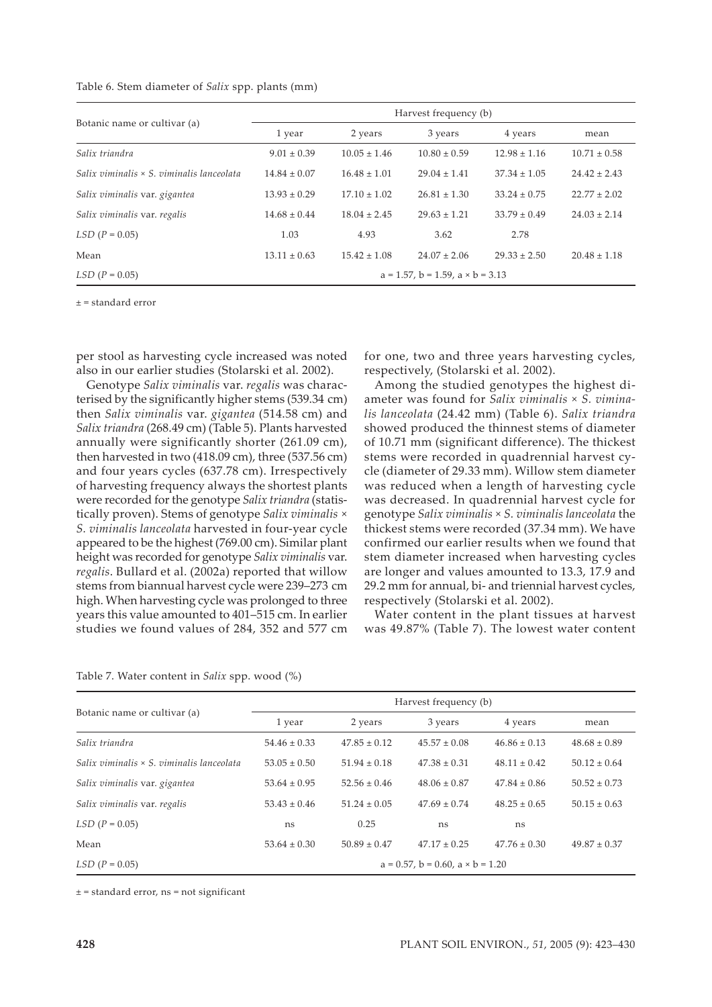| Table 6. Stem diameter of Salix spp. plants (mm) |  |  |  |  |  |  |
|--------------------------------------------------|--|--|--|--|--|--|
|--------------------------------------------------|--|--|--|--|--|--|

|                                                  |                  |                  | Harvest frequency (b)                         |                  |                  |
|--------------------------------------------------|------------------|------------------|-----------------------------------------------|------------------|------------------|
| Botanic name or cultivar (a)                     | 1 year           | 2 years          | 3 years                                       | 4 years          | mean             |
| Salix triandra                                   | $9.01 \pm 0.39$  | $10.05 \pm 1.46$ | $10.80 \pm 0.59$                              | $12.98 \pm 1.16$ | $10.71 \pm 0.58$ |
| Salix viminalis $\times$ S. viminalis lanceolata | $14.84 \pm 0.07$ | $16.48 \pm 1.01$ | $29.04 \pm 1.41$                              | $37.34 \pm 1.05$ | $24.42 \pm 2.43$ |
| Salix viminalis var. gigantea                    | $13.93 \pm 0.29$ | $17.10 \pm 1.02$ | $26.81 \pm 1.30$                              | $33.24 \pm 0.75$ | $22.77 \pm 2.02$ |
| Salix viminalis var. regalis                     | $14.68 \pm 0.44$ | $18.04 \pm 2.45$ | $29.63 \pm 1.21$                              | $33.79 \pm 0.49$ | $24.03 \pm 2.14$ |
| $LSD (P = 0.05)$                                 | 1.03             | 4.93             | 3.62                                          | 2.78             |                  |
| Mean                                             | $13.11 \pm 0.63$ | $15.42 \pm 1.08$ | $24.07 \pm 2.06$                              | $29.33 \pm 2.50$ | $20.48 \pm 1.18$ |
| $LSD (P = 0.05)$                                 |                  |                  | $a = 1.57$ , $b = 1.59$ , $a \times b = 3.13$ |                  |                  |

± = standard error

per stool as harvesting cycle increased was noted also in our earlier studies (Stolarski et al. 2002).

Genotype *Salix viminalis* var. *regalis* was characterised by the significantly higher stems (539.34 cm) then *Salix viminalis* var. *gigantea* (514.58 cm) and *Salix triandra* (268.49 cm) (Table 5). Plants harvested annually were significantly shorter (261.09 cm), then harvested in two (418.09 cm), three (537.56 cm) and four years cycles (637.78 cm). Irrespectively of harvesting frequency always the shortest plants were recorded for the genotype *Salix triandra* (statistically proven). Stems of genotype *Salix viminalis × S. viminalis lanceolata* harvested in four-year cycle appeared to be the highest (769.00 cm). Similar plant height was recorded for genotype *Salix viminalis* var. *regalis*. Bullard et al. (2002a) reported that willow stems from biannual harvest cycle were 239–273 cm high. When harvesting cycle was prolonged to three years this value amounted to 401–515 cm. In earlier studies we found values of 284, 352 and 577 cm

for one, two and three years harvesting cycles, respectively, (Stolarski et al. 2002).

Among the studied genotypes the highest diameter was found for *Salix viminalis × S. viminalis lanceolata* (24.42 mm) (Table 6). *Salix triandra* showed produced the thinnest stems of diameter of 10.71 mm (significant difference). The thickest stems were recorded in quadrennial harvest cycle (diameter of 29.33 mm). Willow stem diameter was reduced when a length of harvesting cycle was decreased. In quadrennial harvest cycle for genotype *Salix viminalis × S. viminalis lanceolata* the thickest stems were recorded (37.34 mm). We have confirmed our earlier results when we found that stem diameter increased when harvesting cycles are longer and values amounted to 13.3, 17.9 and 29.2 mm for annual, bi- and triennial harvest cycles, respectively (Stolarski et al. 2002).

Water content in the plant tissues at harvest was 49.87% (Table 7). The lowest water content

|  |  | Table 7. Water content in Salix spp. wood (%) |  |  |  |  |  |
|--|--|-----------------------------------------------|--|--|--|--|--|
|--|--|-----------------------------------------------|--|--|--|--|--|

|                                                  |                  |                  | Harvest frequency (b)                         |                  |                  |
|--------------------------------------------------|------------------|------------------|-----------------------------------------------|------------------|------------------|
| Botanic name or cultivar (a)                     | 1 year           | 2 years          | 3 years                                       | 4 years          | mean             |
| Salix triandra                                   | $54.46 \pm 0.33$ | $47.85 \pm 0.12$ | $45.57 \pm 0.08$                              | $46.86 \pm 0.13$ | $48.68 \pm 0.89$ |
| Salix viminalis $\times$ S. viminalis lanceolata | $53.05 \pm 0.50$ | $51.94 \pm 0.18$ | $47.38 \pm 0.31$                              | $48.11 \pm 0.42$ | $50.12 \pm 0.64$ |
| Salix viminalis var. gigantea                    | $53.64 \pm 0.95$ | $52.56 \pm 0.46$ | $48.06 \pm 0.87$                              | $47.84 \pm 0.86$ | $50.52 \pm 0.73$ |
| Salix viminalis var. regalis                     | $53.43 \pm 0.46$ | $51.24 \pm 0.05$ | $47.69 \pm 0.74$                              | $48.25 \pm 0.65$ | $50.15 \pm 0.63$ |
| $LSD (P = 0.05)$                                 | ns               | 0.25             | ns                                            | ns               |                  |
| Mean                                             | $53.64 \pm 0.30$ | $50.89 \pm 0.47$ | $47.17 \pm 0.25$                              | $47.76 \pm 0.30$ | $49.87 \pm 0.37$ |
| $LSD (P = 0.05)$                                 |                  |                  | $a = 0.57$ , $b = 0.60$ , $a \times b = 1.20$ |                  |                  |

 $± =$  standard error, ns = not significant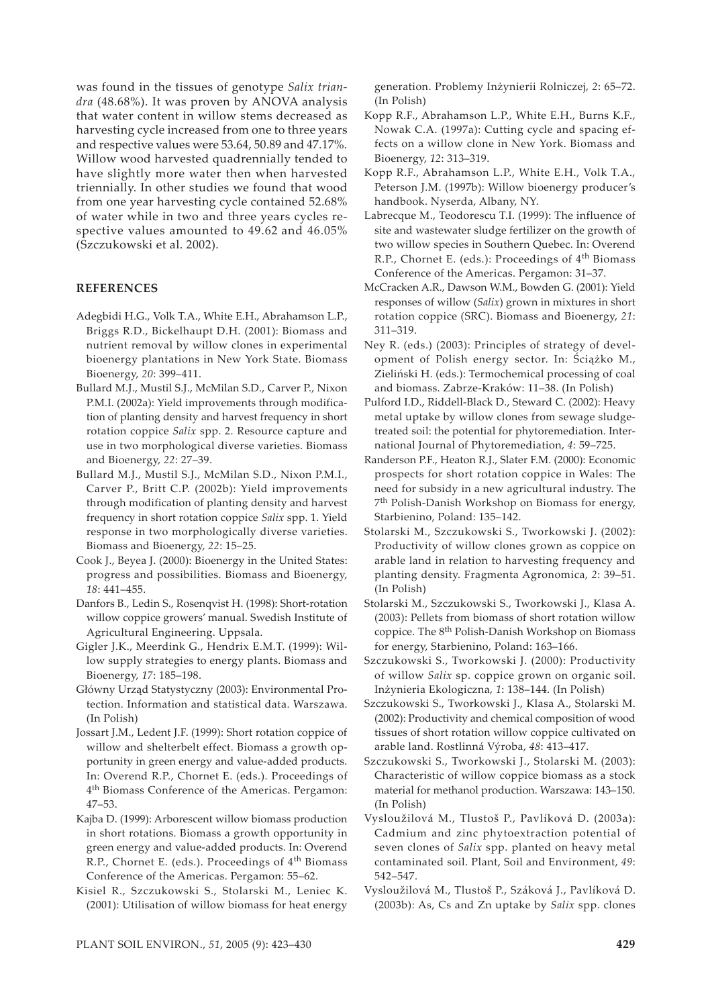was found in the tissues of genotype *Salix triandra* (48.68%). It was proven by ANOVA analysis that water content in willow stems decreased as harvesting cycle increased from one to three years and respective values were 53.64, 50.89 and 47.17%. Willow wood harvested quadrennially tended to have slightly more water then when harvested triennially. In other studies we found that wood from one year harvesting cycle contained 52.68% of water while in two and three years cycles respective values amounted to 49.62 and 46.05% (Szczukowski et al. 2002).

## **REFERENCES**

- Adegbidi H.G., Volk T.A., White E.H., Abrahamson L.P., Briggs R.D., Bickelhaupt D.H. (2001): Biomass and nutrient removal by willow clones in experimental bioenergy plantations in New York State. Biomass Bioenergy, *20*: 399–411.
- Bullard M.J., Mustil S.J., McMilan S.D., Carver P., Nixon P.M.I. (2002a): Yield improvements through modification of planting density and harvest frequency in short rotation coppice *Salix* spp. 2. Resource capture and use in two morphological diverse varieties. Biomass and Bioenergy, *22*: 27–39.
- Bullard M.J., Mustil S.J., McMilan S.D., Nixon P.M.I., Carver P., Britt C.P. (2002b): Yield improvements through modification of planting density and harvest frequency in short rotation coppice *Salix* spp. 1. Yield response in two morphologically diverse varieties. Biomass and Bioenergy, *22*: 15–25.
- Cook J., Beyea J. (2000): Bioenergy in the United States: progress and possibilities. Biomass and Bioenergy, *18*: 441–455.
- Danfors B., Ledin S., Rosenqvist H. (1998): Short-rotation willow coppice growers' manual. Swedish Institute of Agricultural Engineering. Uppsala.
- Gigler J.K., Meerdink G., Hendrix E.M.T. (1999): Willow supply strategies to energy plants. Biomass and Bioenergy, *17*: 185–198.
- Główny Urząd Statystyczny (2003): Environmental Protection. Information and statistical data. Warszawa. (In Polish)
- Jossart J.M., Ledent J.F. (1999): Short rotation coppice of willow and shelterbelt effect. Biomass a growth opportunity in green energy and value-added products. In: Overend R.P., Chornet E. (eds.). Proceedings of 4th Biomass Conference of the Americas. Pergamon: 47–53.
- Kajba D. (1999): Arborescent willow biomass production in short rotations. Biomass a growth opportunity in green energy and value-added products. In: Overend R.P., Chornet E. (eds.). Proceedings of 4<sup>th</sup> Biomass Conference of the Americas. Pergamon: 55–62.
- Kisiel R., Szczukowski S., Stolarski M., Leniec K. (2001): Utilisation of willow biomass for heat energy

generation. Problemy Inżynierii Rolniczej, *2*: 65–72. (In Polish)

- Kopp R.F., Abrahamson L.P., White E.H., Burns K.F., Nowak C.A. (1997a): Cutting cycle and spacing effects on a willow clone in New York. Biomass and Bioenergy, *12*: 313–319.
- Kopp R.F., Abrahamson L.P., White E.H., Volk T.A., Peterson J.M. (1997b): Willow bioenergy producer's handbook. Nyserda, Albany, NY.
- Labrecque M., Teodorescu T.I. (1999): The influence of site and wastewater sludge fertilizer on the growth of two willow species in Southern Quebec. In: Overend R.P., Chornet E. (eds.): Proceedings of 4<sup>th</sup> Biomass Conference of the Americas. Pergamon: 31–37.
- McCracken A.R., Dawson W.M., Bowden G. (2001): Yield responses of willow (*Salix*) grown in mixtures in short rotation coppice (SRC). Biomass and Bioenergy, *21*: 311–319.
- Ney R. (eds.) (2003): Principles of strategy of development of Polish energy sector. In: Ściążko M., Zieliński H. (eds.): Termochemical processing of coal and biomass. Zabrze-Kraków: 11–38. (In Polish)
- Pulford I.D., Riddell-Black D., Steward C. (2002): Heavy metal uptake by willow clones from sewage sludgetreated soil: the potential for phytoremediation. International Journal of Phytoremediation, *4*: 59–725.
- Randerson P.F., Heaton R.J., Slater F.M. (2000): Economic prospects for short rotation coppice in Wales: The need for subsidy in a new agricultural industry. The 7th Polish-Danish Workshop on Biomass for energy, Starbienino, Poland: 135–142.
- Stolarski M., Szczukowski S., Tworkowski J. (2002): Productivity of willow clones grown as coppice on arable land in relation to harvesting frequency and planting density. Fragmenta Agronomica, *2*: 39–51. (In Polish)
- Stolarski M., Szczukowski S., Tworkowski J., Klasa A. (2003): Pellets from biomass of short rotation willow coppice. The 8<sup>th</sup> Polish-Danish Workshop on Biomass for energy, Starbienino, Poland: 163–166.
- Szczukowski S., Tworkowski J. (2000): Productivity of willow *Salix* sp. coppice grown on organic soil. Inżynieria Ekologiczna, *1*: 138–144. (In Polish)
- Szczukowski S., Tworkowski J., Klasa A., Stolarski M. (2002): Productivity and chemical composition of wood tissues of short rotation willow coppice cultivated on arable land. Rostlinná Výroba, *48*: 413–417.
- Szczukowski S., Tworkowski J., Stolarski M. (2003): Characteristic of willow coppice biomass as a stock material for methanol production. Warszawa: 143–150. (In Polish)
- Vysloužilová M., Tlustoš P., Pavlíková D. (2003a): Cadmium and zinc phytoextraction potential of seven clones of *Salix* spp. planted on heavy metal contaminated soil. Plant, Soil and Environment, *49*: 542–547.
- Vysloužilová M., Tlustoš P., Száková J., Pavlíková D. (2003b): As, Cs and Zn uptake by *Salix* spp. clones